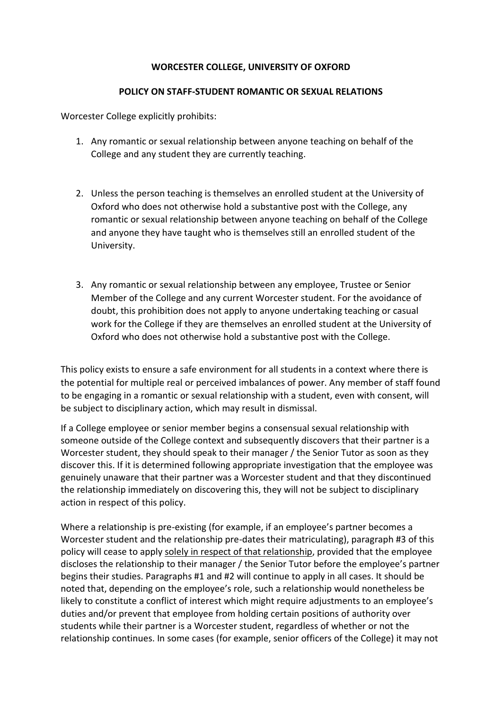## **WORCESTER COLLEGE, UNIVERSITY OF OXFORD**

## **POLICY ON STAFF-STUDENT ROMANTIC OR SEXUAL RELATIONS**

Worcester College explicitly prohibits:

- 1. Any romantic or sexual relationship between anyone teaching on behalf of the College and any student they are currently teaching.
- 2. Unless the person teaching is themselves an enrolled student at the University of Oxford who does not otherwise hold a substantive post with the College, any romantic or sexual relationship between anyone teaching on behalf of the College and anyone they have taught who is themselves still an enrolled student of the University.
- 3. Any romantic or sexual relationship between any employee, Trustee or Senior Member of the College and any current Worcester student. For the avoidance of doubt, this prohibition does not apply to anyone undertaking teaching or casual work for the College if they are themselves an enrolled student at the University of Oxford who does not otherwise hold a substantive post with the College.

This policy exists to ensure a safe environment for all students in a context where there is the potential for multiple real or perceived imbalances of power. Any member of staff found to be engaging in a romantic or sexual relationship with a student, even with consent, will be subject to disciplinary action, which may result in dismissal.

If a College employee or senior member begins a consensual sexual relationship with someone outside of the College context and subsequently discovers that their partner is a Worcester student, they should speak to their manager / the Senior Tutor as soon as they discover this. If it is determined following appropriate investigation that the employee was genuinely unaware that their partner was a Worcester student and that they discontinued the relationship immediately on discovering this, they will not be subject to disciplinary action in respect of this policy.

Where a relationship is pre-existing (for example, if an employee's partner becomes a Worcester student and the relationship pre-dates their matriculating), paragraph #3 of this policy will cease to apply solely in respect of that relationship, provided that the employee discloses the relationship to their manager / the Senior Tutor before the employee's partner begins their studies. Paragraphs #1 and #2 will continue to apply in all cases. It should be noted that, depending on the employee's role, such a relationship would nonetheless be likely to constitute a conflict of interest which might require adjustments to an employee's duties and/or prevent that employee from holding certain positions of authority over students while their partner is a Worcester student, regardless of whether or not the relationship continues. In some cases (for example, senior officers of the College) it may not